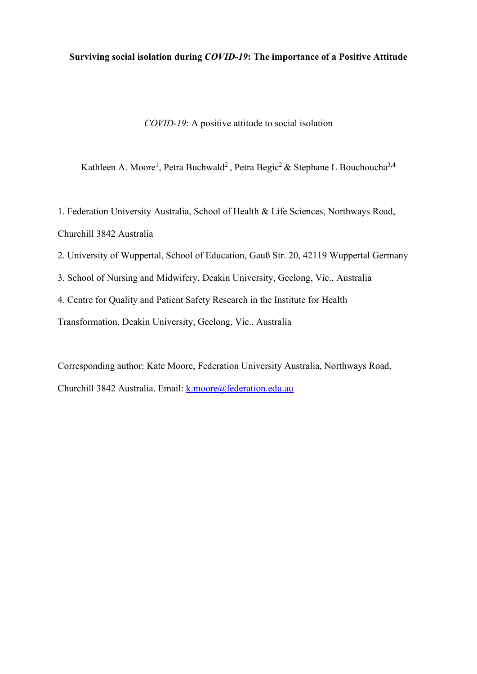# **Surviving social isolation during** *COVID-19***: The importance of a Positive Attitude**

*COVID-19*: A positive attitude to social isolation

Kathleen A. Moore<sup>1</sup>, Petra Buchwald<sup>2</sup> , Petra Begic<sup>2</sup> & Stephane L Bouchoucha<sup>3,4</sup>

1. Federation University Australia, School of Health & Life Sciences, Northways Road, Churchill 3842 Australia

- 2. University of Wuppertal, School of Education, Gauß Str. 20, 42119 Wuppertal Germany
- 3. School of Nursing and Midwifery, Deakin University, Geelong, Vic., Australia
- 4. Centre for Quality and Patient Safety Research in the Institute for Health

Transformation, Deakin University, Geelong, Vic., Australia

Corresponding author: Kate Moore, Federation University Australia, Northways Road, Churchill 3842 Australia. Email: [k.moore@federation.edu.au](mailto:k.moore@federation.edu.au)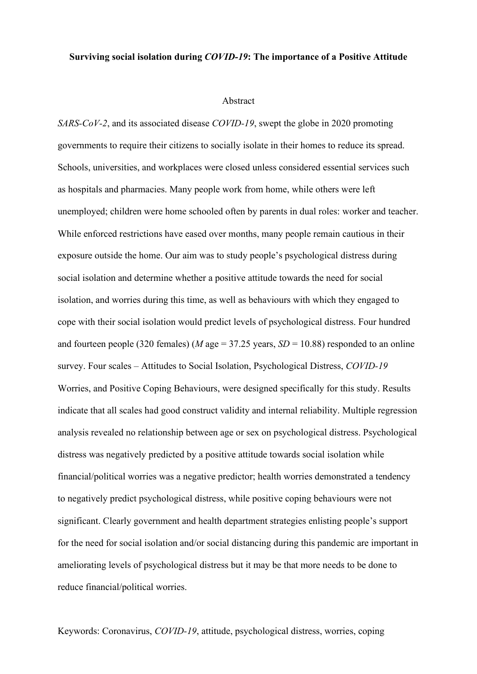## **Surviving social isolation during** *COVID-19***: The importance of a Positive Attitude**

#### Abstract

*SARS-CoV-2*, and its associated disease *COVID-19*, swept the globe in 2020 promoting governments to require their citizens to socially isolate in their homes to reduce its spread. Schools, universities, and workplaces were closed unless considered essential services such as hospitals and pharmacies. Many people work from home, while others were left unemployed; children were home schooled often by parents in dual roles: worker and teacher. While enforced restrictions have eased over months, many people remain cautious in their exposure outside the home. Our aim was to study people's psychological distress during social isolation and determine whether a positive attitude towards the need for social isolation, and worries during this time, as well as behaviours with which they engaged to cope with their social isolation would predict levels of psychological distress. Four hundred and fourteen people (320 females) (*M* age = 37.25 years, *SD* = 10.88) responded to an online survey. Four scales – Attitudes to Social Isolation, Psychological Distress, *COVID-19* Worries, and Positive Coping Behaviours, were designed specifically for this study. Results indicate that all scales had good construct validity and internal reliability. Multiple regression analysis revealed no relationship between age or sex on psychological distress. Psychological distress was negatively predicted by a positive attitude towards social isolation while financial/political worries was a negative predictor; health worries demonstrated a tendency to negatively predict psychological distress, while positive coping behaviours were not significant. Clearly government and health department strategies enlisting people's support for the need for social isolation and/or social distancing during this pandemic are important in ameliorating levels of psychological distress but it may be that more needs to be done to reduce financial/political worries.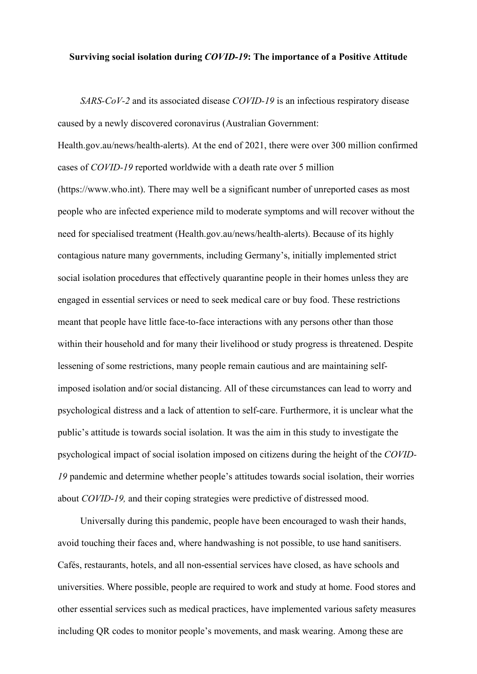## **Surviving social isolation during** *COVID-19***: The importance of a Positive Attitude**

*SARS-CoV-2* and its associated disease *COVID-19* is an infectious respiratory disease caused by a newly discovered coronavirus (Australian Government: Health.gov.au/news/health-alerts). At the end of 2021, there were over 300 million confirmed

cases of *COVID-19* reported worldwide with a death rate over 5 million

(https://www.who.int). There may well be a significant number of unreported cases as most people who are infected experience mild to moderate symptoms and will recover without the need for specialised treatment (Health.gov.au/news/health-alerts). Because of its highly contagious nature many governments, including Germany's, initially implemented strict social isolation procedures that effectively quarantine people in their homes unless they are engaged in essential services or need to seek medical care or buy food. These restrictions meant that people have little face-to-face interactions with any persons other than those within their household and for many their livelihood or study progress is threatened. Despite lessening of some restrictions, many people remain cautious and are maintaining selfimposed isolation and/or social distancing. All of these circumstances can lead to worry and psychological distress and a lack of attention to self-care. Furthermore, it is unclear what the public's attitude is towards social isolation. It was the aim in this study to investigate the psychological impact of social isolation imposed on citizens during the height of the *COVID-19* pandemic and determine whether people's attitudes towards social isolation, their worries about *COVID*-*19,* and their coping strategies were predictive of distressed mood.

Universally during this pandemic, people have been encouraged to wash their hands, avoid touching their faces and, where handwashing is not possible, to use hand sanitisers. Cafés, restaurants, hotels, and all non-essential services have closed, as have schools and universities. Where possible, people are required to work and study at home. Food stores and other essential services such as medical practices, have implemented various safety measures including QR codes to monitor people's movements, and mask wearing. Among these are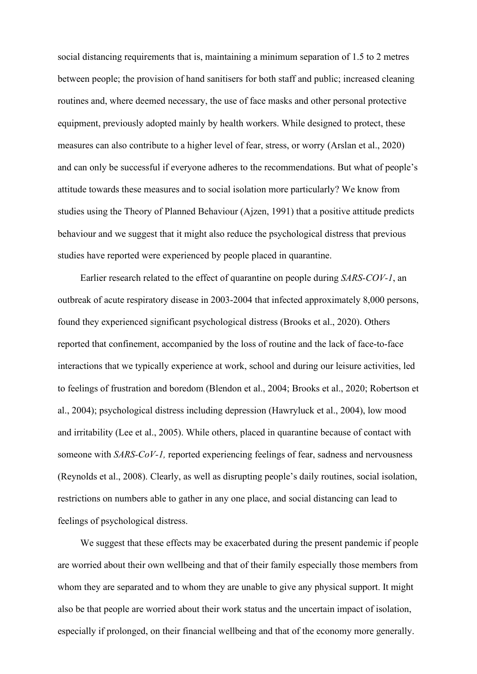social distancing requirements that is, maintaining a minimum separation of 1.5 to 2 metres between people; the provision of hand sanitisers for both staff and public; increased cleaning routines and, where deemed necessary, the use of face masks and other personal protective equipment, previously adopted mainly by health workers. While designed to protect, these measures can also contribute to a higher level of fear, stress, or worry (Arslan et al., 2020) and can only be successful if everyone adheres to the recommendations. But what of people's attitude towards these measures and to social isolation more particularly? We know from studies using the Theory of Planned Behaviour (Ajzen, 1991) that a positive attitude predicts behaviour and we suggest that it might also reduce the psychological distress that previous studies have reported were experienced by people placed in quarantine.

Earlier research related to the effect of quarantine on people during *SARS-COV-1*, an outbreak of acute respiratory disease in 2003-2004 that infected approximately 8,000 persons, found they experienced significant psychological distress (Brooks et al., 2020). Others reported that confinement, accompanied by the loss of routine and the lack of face-to-face interactions that we typically experience at work, school and during our leisure activities, led to feelings of frustration and boredom (Blendon et al., 2004; Brooks et al., 2020; Robertson et al., 2004); psychological distress including depression (Hawryluck et al., 2004), low mood and irritability (Lee et al., 2005). While others, placed in quarantine because of contact with someone with *SARS-CoV-1,* reported experiencing feelings of fear, sadness and nervousness (Reynolds et al., 2008). Clearly, as well as disrupting people's daily routines, social isolation, restrictions on numbers able to gather in any one place, and social distancing can lead to feelings of psychological distress.

We suggest that these effects may be exacerbated during the present pandemic if people are worried about their own wellbeing and that of their family especially those members from whom they are separated and to whom they are unable to give any physical support. It might also be that people are worried about their work status and the uncertain impact of isolation, especially if prolonged, on their financial wellbeing and that of the economy more generally.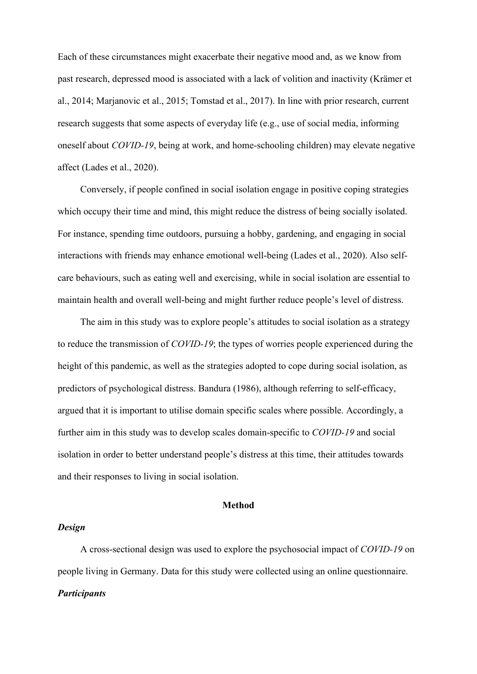Each of these circumstances might exacerbate their negative mood and, as we know from past research, depressed mood is associated with a lack of volition and inactivity (Krämer et al., 2014; Marjanovic et al., 2015; Tomstad et al., 2017). In line with prior research, current research suggests that some aspects of everyday life (e.g., use of social media, informing oneself about *COVID-19*, being at work, and home-schooling children) may elevate negative affect (Lades et al., 2020).

Conversely, if people confined in social isolation engage in positive coping strategies which occupy their time and mind, this might reduce the distress of being socially isolated. For instance, spending time outdoors, pursuing a hobby, gardening, and engaging in social interactions with friends may enhance emotional well-being (Lades et al., 2020). Also selfcare behaviours, such as eating well and exercising, while in social isolation are essential to maintain health and overall well-being and might further reduce people's level of distress.

The aim in this study was to explore people's attitudes to social isolation as a strategy to reduce the transmission of *COVID-19*; the types of worries people experienced during the height of this pandemic, as well as the strategies adopted to cope during social isolation, as predictors of psychological distress. Bandura (1986), although referring to self-efficacy, argued that it is important to utilise domain specific scales where possible. Accordingly, a further aim in this study was to develop scales domain-specific to *COVID-19* and social isolation in order to better understand people's distress at this time, their attitudes towards and their responses to living in social isolation.

### **Method**

## *Design*

A cross-sectional design was used to explore the psychosocial impact of *COVID-19* on people living in Germany. Data for this study were collected using an online questionnaire. *Participants*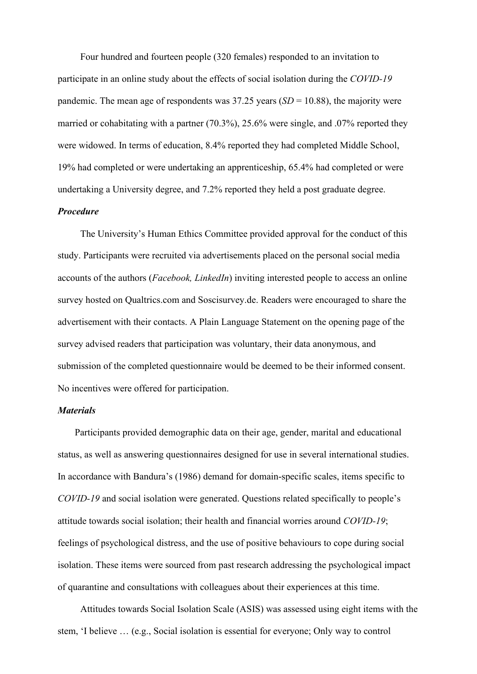Four hundred and fourteen people (320 females) responded to an invitation to participate in an online study about the effects of social isolation during the *COVID-19* pandemic. The mean age of respondents was  $37.25$  years  $(SD = 10.88)$ , the majority were married or cohabitating with a partner (70.3%), 25.6% were single, and .07% reported they were widowed. In terms of education, 8.4% reported they had completed Middle School, 19% had completed or were undertaking an apprenticeship, 65.4% had completed or were undertaking a University degree, and 7.2% reported they held a post graduate degree.

### *Procedure*

The University's Human Ethics Committee provided approval for the conduct of this study. Participants were recruited via advertisements placed on the personal social media accounts of the authors (*Facebook, LinkedIn*) inviting interested people to access an online survey hosted on Qualtrics.com and Soscisurvey.de. Readers were encouraged to share the advertisement with their contacts. A Plain Language Statement on the opening page of the survey advised readers that participation was voluntary, their data anonymous, and submission of the completed questionnaire would be deemed to be their informed consent. No incentives were offered for participation.

### *Materials*

Participants provided demographic data on their age, gender, marital and educational status, as well as answering questionnaires designed for use in several international studies. In accordance with Bandura's (1986) demand for domain-specific scales, items specific to *COVID-19* and social isolation were generated. Questions related specifically to people's attitude towards social isolation; their health and financial worries around *COVID-19*; feelings of psychological distress, and the use of positive behaviours to cope during social isolation. These items were sourced from past research addressing the psychological impact of quarantine and consultations with colleagues about their experiences at this time.

Attitudes towards Social Isolation Scale (ASIS) was assessed using eight items with the stem, 'I believe … (e.g., Social isolation is essential for everyone; Only way to control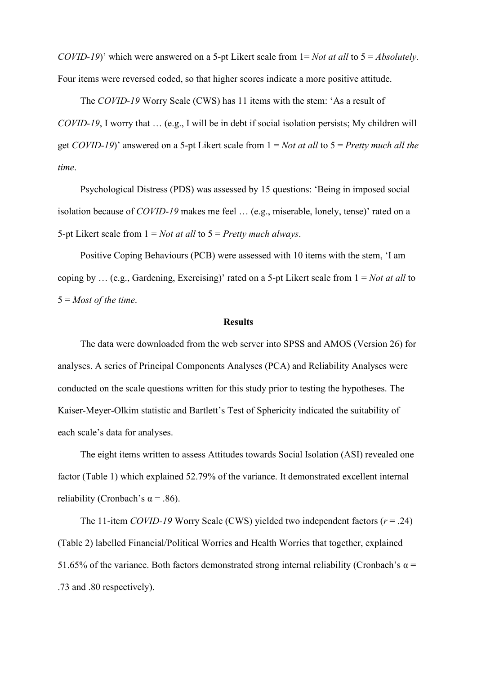*COVID-19*)' which were answered on a 5-pt Likert scale from 1= *Not at all* to 5 = *Absolutely*. Four items were reversed coded, so that higher scores indicate a more positive attitude.

The *COVID-19* Worry Scale (CWS) has 11 items with the stem: 'As a result of *COVID-19*, I worry that … (e.g., I will be in debt if social isolation persists; My children will get *COVID-19*)' answered on a 5-pt Likert scale from 1 = *Not at all* to 5 = *Pretty much all the time*.

Psychological Distress (PDS) was assessed by 15 questions: 'Being in imposed social isolation because of *COVID-19* makes me feel … (e.g., miserable, lonely, tense)' rated on a 5-pt Likert scale from 1 = *Not at all* to 5 = *Pretty much always*.

Positive Coping Behaviours (PCB) were assessed with 10 items with the stem, 'I am coping by … (e.g., Gardening, Exercising)' rated on a 5-pt Likert scale from 1 = *Not at all* to 5 = *Most of the time*.

### **Results**

The data were downloaded from the web server into SPSS and AMOS (Version 26) for analyses. A series of Principal Components Analyses (PCA) and Reliability Analyses were conducted on the scale questions written for this study prior to testing the hypotheses. The Kaiser-Meyer-Olkim statistic and Bartlett's Test of Sphericity indicated the suitability of each scale's data for analyses.

The eight items written to assess Attitudes towards Social Isolation (ASI) revealed one factor (Table 1) which explained 52.79% of the variance. It demonstrated excellent internal reliability (Cronbach's  $\alpha$  = .86).

The 11-item *COVID-19* Worry Scale (CWS) yielded two independent factors (*r* = .24) (Table 2) labelled Financial/Political Worries and Health Worries that together, explained 51.65% of the variance. Both factors demonstrated strong internal reliability (Cronbach's  $\alpha$  = .73 and .80 respectively).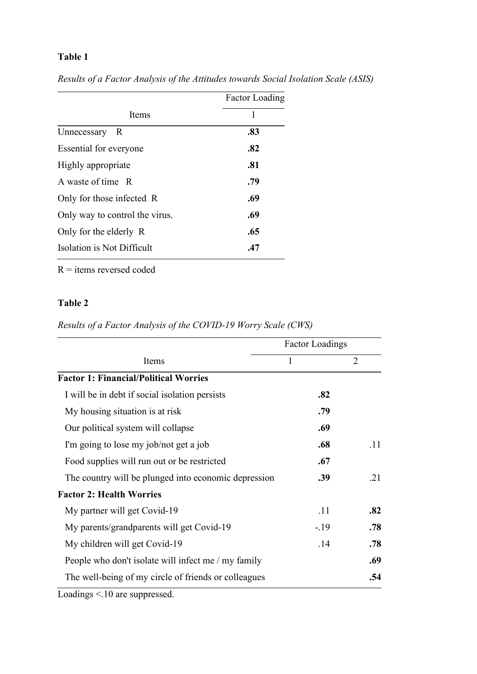# **Table 1**

|                                | <b>Factor Loading</b> |  |  |
|--------------------------------|-----------------------|--|--|
| Items                          | 1                     |  |  |
| Unnecessary<br>R               | .83                   |  |  |
| Essential for everyone         | .82                   |  |  |
| Highly appropriate             | .81                   |  |  |
| A waste of time R              | .79                   |  |  |
| Only for those infected R      | .69                   |  |  |
| Only way to control the virus. | .69                   |  |  |
| Only for the elderly R         | .65                   |  |  |
| Isolation is Not Difficult     | .47                   |  |  |

*Results of a Factor Analysis of the Attitudes towards Social Isolation Scale (ASIS)*

 $R =$  items reversed coded

# **Table 2**

*Results of a Factor Analysis of the COVID-19 Worry Scale (CWS)*

|                                                      | <b>Factor Loadings</b> |     |
|------------------------------------------------------|------------------------|-----|
| Items                                                | 1                      | 2   |
| <b>Factor 1: Financial/Political Worries</b>         |                        |     |
| I will be in debt if social isolation persists       | .82                    |     |
| My housing situation is at risk                      | .79                    |     |
| Our political system will collapse                   | .69                    |     |
| I'm going to lose my job/not get a job               | .68                    | .11 |
| Food supplies will run out or be restricted          | .67                    |     |
| The country will be plunged into economic depression | .39                    | .21 |
| <b>Factor 2: Health Worries</b>                      |                        |     |
| My partner will get Covid-19                         | .11                    | .82 |
| My parents/grandparents will get Covid-19            | $-.19$                 | .78 |
| My children will get Covid-19                        | .14                    | .78 |
| People who don't isolate will infect me / my family  |                        | .69 |
| The well-being of my circle of friends or colleagues |                        | .54 |

Loadings <.10 are suppressed.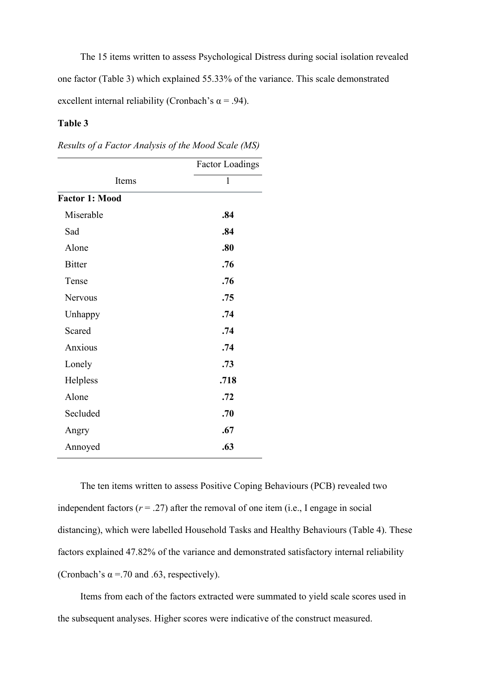The 15 items written to assess Psychological Distress during social isolation revealed one factor (Table 3) which explained 55.33% of the variance. This scale demonstrated excellent internal reliability (Cronbach's  $\alpha$  = .94).

# **Table 3**

*Results of a Factor Analysis of the Mood Scale (MS)*

| <b>Factor Loadings</b> |  |  |
|------------------------|--|--|
| $\mathbf{1}$           |  |  |
|                        |  |  |
| .84                    |  |  |
| .84                    |  |  |
| .80                    |  |  |
| .76                    |  |  |
| .76                    |  |  |
| .75                    |  |  |
| .74                    |  |  |
| .74                    |  |  |
| .74                    |  |  |
| .73                    |  |  |
| .718                   |  |  |
| .72                    |  |  |
| .70                    |  |  |
| .67                    |  |  |
| .63                    |  |  |
|                        |  |  |

The ten items written to assess Positive Coping Behaviours (PCB) revealed two independent factors  $(r = .27)$  after the removal of one item (i.e., I engage in social distancing), which were labelled Household Tasks and Healthy Behaviours (Table 4). These factors explained 47.82% of the variance and demonstrated satisfactory internal reliability (Cronbach's  $\alpha$  = .70 and .63, respectively).

Items from each of the factors extracted were summated to yield scale scores used in the subsequent analyses. Higher scores were indicative of the construct measured.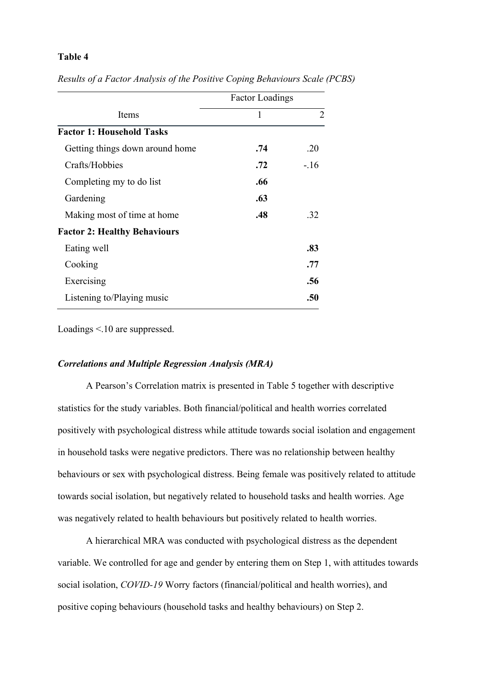# **Table 4**

|                                     | <b>Factor Loadings</b> |        |
|-------------------------------------|------------------------|--------|
| Items                               | 1                      | 2      |
| <b>Factor 1: Household Tasks</b>    |                        |        |
| Getting things down around home     | .74                    | .20    |
| Crafts/Hobbies                      | .72                    | $-.16$ |
| Completing my to do list            | .66                    |        |
| Gardening                           | .63                    |        |
| Making most of time at home         | .48                    | .32    |
| <b>Factor 2: Healthy Behaviours</b> |                        |        |
| Eating well                         |                        | .83    |
| Cooking                             |                        | .77    |
| Exercising                          |                        | .56    |
| Listening to/Playing music          |                        | .50    |

*Results of a Factor Analysis of the Positive Coping Behaviours Scale (PCBS)*

Loadings <.10 are suppressed.

## *Correlations and Multiple Regression Analysis (MRA)*

A Pearson's Correlation matrix is presented in Table 5 together with descriptive statistics for the study variables. Both financial/political and health worries correlated positively with psychological distress while attitude towards social isolation and engagement in household tasks were negative predictors. There was no relationship between healthy behaviours or sex with psychological distress. Being female was positively related to attitude towards social isolation, but negatively related to household tasks and health worries. Age was negatively related to health behaviours but positively related to health worries.

A hierarchical MRA was conducted with psychological distress as the dependent variable. We controlled for age and gender by entering them on Step 1, with attitudes towards social isolation, *COVID-19* Worry factors (financial/political and health worries), and positive coping behaviours (household tasks and healthy behaviours) on Step 2.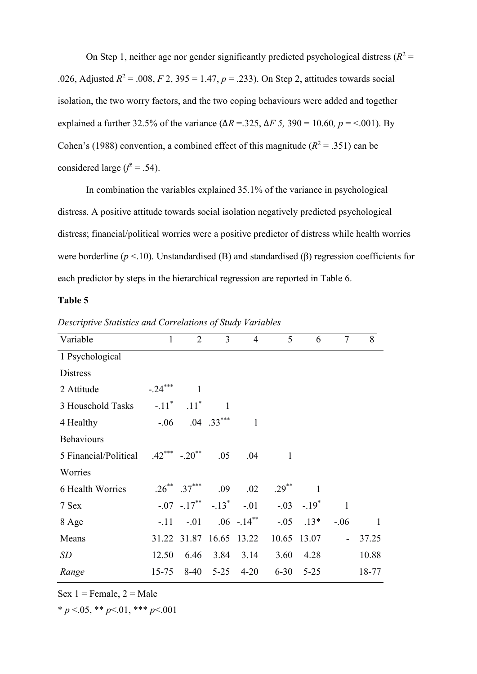On Step 1, neither age nor gender significantly predicted psychological distress  $(R^2 =$ .026, Adjusted  $R^2 = .008$ ,  $F \, 2$ ,  $395 = 1.47$ ,  $p = .233$ ). On Step 2, attitudes towards social isolation, the two worry factors, and the two coping behaviours were added and together explained a further 32.5% of the variance ( $\Delta R = 0.325$ ,  $\Delta F = 0.590 = 10.60$ ,  $p = 0.601$ ). By Cohen's (1988) convention, a combined effect of this magnitude ( $R^2 = .351$ ) can be considered large  $(f^2 = .54)$ .

In combination the variables explained 35.1% of the variance in psychological distress. A positive attitude towards social isolation negatively predicted psychological distress; financial/political worries were a positive predictor of distress while health worries were borderline (*p* <.10). Unstandardised (B) and standardised (β) regression coefficients for each predictor by steps in the hierarchical regression are reported in Table 6.

# **Table 5**

| Variable              | $\mathbf{1}$        | $\overline{2}$                                  | $\overline{3}$ | $\overline{4}$          | 5            | 6            | $\tau$                   | 8     |
|-----------------------|---------------------|-------------------------------------------------|----------------|-------------------------|--------------|--------------|--------------------------|-------|
| 1 Psychological       |                     |                                                 |                |                         |              |              |                          |       |
| <b>Distress</b>       |                     |                                                 |                |                         |              |              |                          |       |
| 2 Attitude            | $-.24***$           | 1                                               |                |                         |              |              |                          |       |
| 3 Household Tasks     | $-.11$ <sup>*</sup> | $.11$ <sup>*</sup>                              | $\mathbf{1}$   |                         |              |              |                          |       |
| 4 Healthy             | $-0.06$             |                                                 | $.04$ $.33***$ | 1                       |              |              |                          |       |
| <b>Behaviours</b>     |                     |                                                 |                |                         |              |              |                          |       |
| 5 Financial/Political | $.42***$ $-.20**$   |                                                 | .05            | .04                     | $\mathbf{1}$ |              |                          |       |
| Worries               |                     |                                                 |                |                         |              |              |                          |       |
| 6 Health Worries      |                     | $.26^{**}$ $.37^{***}$                          | .09            | .02                     | $.29***$     | $\mathbf{1}$ |                          |       |
| 7 Sex                 |                     | $-.07$ $-.17$ <sup>**</sup> $-.13$ <sup>*</sup> |                | $-.01$                  |              | $-.03-.19^*$ | $\mathbf{1}$             |       |
| 8 Age                 |                     | $-.11-.01-.06-.14**$                            |                |                         | $-.05$       | $.13*$       | $-.06$                   | 1     |
| Means                 |                     |                                                 |                | 31.22 31.87 16.65 13.22 |              | 10.65 13.07  | $\overline{\phantom{a}}$ | 37.25 |
| <b>SD</b>             | 12.50               | 6.46                                            | 3.84           | 3.14                    | 3.60         | 4.28         |                          | 10.88 |
| Range                 | $15 - 75$           | $8-40$                                          | $5 - 25$       | $4 - 20$                | $6 - 30$     | $5 - 25$     |                          | 18-77 |

*Descriptive Statistics and Correlations of Study Variables*

Sex  $1 =$  Female,  $2 =$  Male

 $* p \le 0.05$ ,  $* p \le 0.01$ ,  $* * p \le 0.001$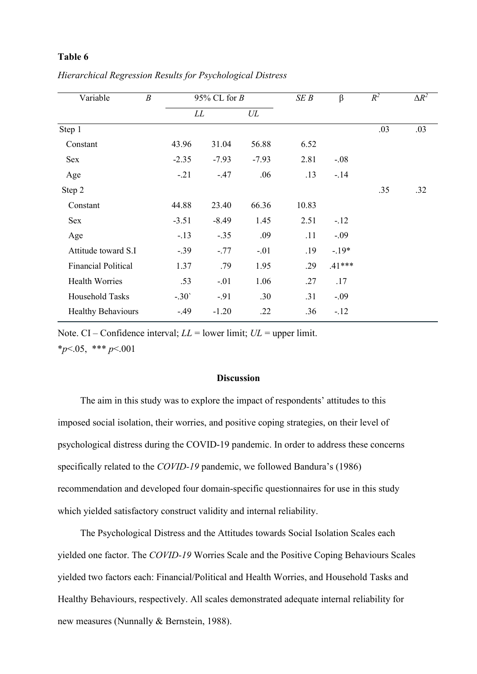# **Table 6**

| Variable                   | $\boldsymbol{B}$ | 95% CL for $B$ |         | SEB   | $\beta$  | $R^2$ | $\Delta R^2$ |
|----------------------------|------------------|----------------|---------|-------|----------|-------|--------------|
|                            |                  | LL             | UL      |       |          |       |              |
| Step 1                     |                  |                |         |       |          | .03   | .03          |
| Constant                   | 43.96            | 31.04          | 56.88   | 6.52  |          |       |              |
| Sex                        | $-2.35$          | $-7.93$        | $-7.93$ | 2.81  | $-.08$   |       |              |
| Age                        | $-.21$           | $-.47$         | .06     | .13   | $-.14$   |       |              |
| Step 2                     |                  |                |         |       |          | .35   | .32          |
| Constant                   | 44.88            | 23.40          | 66.36   | 10.83 |          |       |              |
| Sex                        | $-3.51$          | $-8.49$        | 1.45    | 2.51  | $-.12$   |       |              |
| Age                        | $-.13$           | $-.35$         | .09     | .11   | $-.09$   |       |              |
| Attitude toward S.I        | $-.39$           | $-.77$         | $-.01$  | .19   | $-.19*$  |       |              |
| <b>Financial Political</b> | 1.37             | .79            | 1.95    | .29   | $.41***$ |       |              |
| <b>Health Worries</b>      | .53              | $-.01$         | 1.06    | .27   | .17      |       |              |
| Household Tasks            | $-.30'$          | $-91$          | .30     | .31   | $-.09$   |       |              |
| <b>Healthy Behaviours</b>  | $-.49$           | $-1.20$        | .22     | .36   | $-.12$   |       |              |

*Hierarchical Regression Results for Psychological Distress*

Note. CI – Confidence interval; *LL* = lower limit; *UL* = upper limit.

\**p*<.05, \*\*\* *p*<.001

## **Discussion**

The aim in this study was to explore the impact of respondents' attitudes to this imposed social isolation, their worries, and positive coping strategies, on their level of psychological distress during the COVID-19 pandemic. In order to address these concerns specifically related to the *COVID-19* pandemic, we followed Bandura's (1986) recommendation and developed four domain-specific questionnaires for use in this study which yielded satisfactory construct validity and internal reliability.

The Psychological Distress and the Attitudes towards Social Isolation Scales each yielded one factor. The *COVID-19* Worries Scale and the Positive Coping Behaviours Scales yielded two factors each: Financial/Political and Health Worries, and Household Tasks and Healthy Behaviours, respectively. All scales demonstrated adequate internal reliability for new measures (Nunnally & Bernstein, 1988).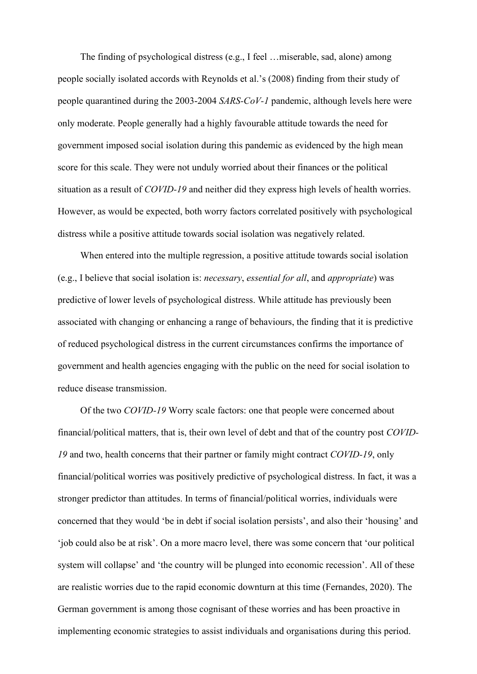The finding of psychological distress (e.g., I feel …miserable, sad, alone) among people socially isolated accords with Reynolds et al.'s (2008) finding from their study of people quarantined during the 2003-2004 *SARS-CoV-1* pandemic, although levels here were only moderate. People generally had a highly favourable attitude towards the need for government imposed social isolation during this pandemic as evidenced by the high mean score for this scale. They were not unduly worried about their finances or the political situation as a result of *COVID-19* and neither did they express high levels of health worries. However, as would be expected, both worry factors correlated positively with psychological distress while a positive attitude towards social isolation was negatively related.

When entered into the multiple regression, a positive attitude towards social isolation (e.g., I believe that social isolation is: *necessary*, *essential for all*, and *appropriate*) was predictive of lower levels of psychological distress. While attitude has previously been associated with changing or enhancing a range of behaviours, the finding that it is predictive of reduced psychological distress in the current circumstances confirms the importance of government and health agencies engaging with the public on the need for social isolation to reduce disease transmission.

Of the two *COVID-19* Worry scale factors: one that people were concerned about financial/political matters, that is, their own level of debt and that of the country post *COVID-19* and two, health concerns that their partner or family might contract *COVID-19*, only financial/political worries was positively predictive of psychological distress. In fact, it was a stronger predictor than attitudes. In terms of financial/political worries, individuals were concerned that they would 'be in debt if social isolation persists', and also their 'housing' and 'job could also be at risk'. On a more macro level, there was some concern that 'our political system will collapse' and 'the country will be plunged into economic recession'. All of these are realistic worries due to the rapid economic downturn at this time (Fernandes, 2020). The German government is among those cognisant of these worries and has been proactive in implementing economic strategies to assist individuals and organisations during this period.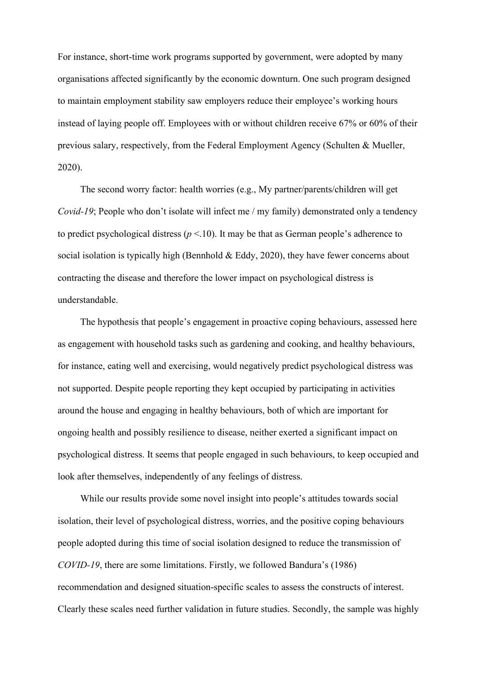For instance, short-time work programs supported by government, were adopted by many organisations affected significantly by the economic downturn. One such program designed to maintain employment stability saw employers reduce their employee's working hours instead of laying people off. Employees with or without children receive 67% or 60% of their previous salary, respectively, from the Federal Employment Agency (Schulten & Mueller, 2020).

The second worry factor: health worries (e.g., My partner/parents/children will get *Covid-19*; People who don't isolate will infect me / my family) demonstrated only a tendency to predict psychological distress ( $p$  <.10). It may be that as German people's adherence to social isolation is typically high (Bennhold  $& Eddy, 2020$ ), they have fewer concerns about contracting the disease and therefore the lower impact on psychological distress is understandable.

The hypothesis that people's engagement in proactive coping behaviours, assessed here as engagement with household tasks such as gardening and cooking, and healthy behaviours, for instance, eating well and exercising, would negatively predict psychological distress was not supported. Despite people reporting they kept occupied by participating in activities around the house and engaging in healthy behaviours, both of which are important for ongoing health and possibly resilience to disease, neither exerted a significant impact on psychological distress. It seems that people engaged in such behaviours, to keep occupied and look after themselves, independently of any feelings of distress.

While our results provide some novel insight into people's attitudes towards social isolation, their level of psychological distress, worries, and the positive coping behaviours people adopted during this time of social isolation designed to reduce the transmission of *COVID-19*, there are some limitations. Firstly, we followed Bandura's (1986) recommendation and designed situation-specific scales to assess the constructs of interest. Clearly these scales need further validation in future studies. Secondly, the sample was highly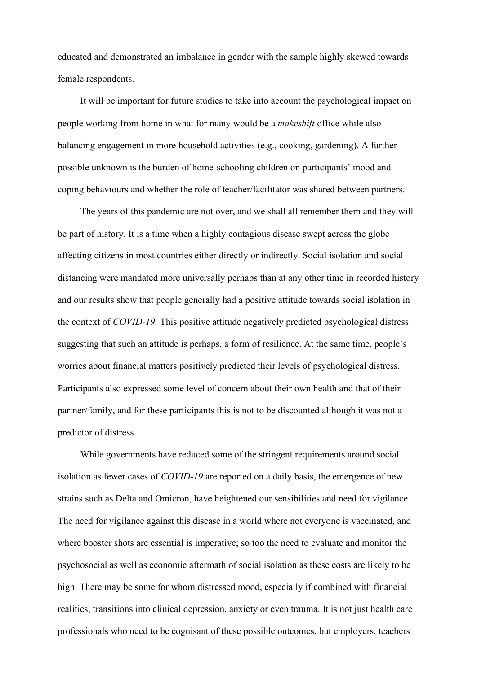educated and demonstrated an imbalance in gender with the sample highly skewed towards female respondents.

It will be important for future studies to take into account the psychological impact on people working from home in what for many would be a *makeshift* office while also balancing engagement in more household activities (e.g., cooking, gardening). A further possible unknown is the burden of home-schooling children on participants' mood and coping behaviours and whether the role of teacher/facilitator was shared between partners.

The years of this pandemic are not over, and we shall all remember them and they will be part of history. It is a time when a highly contagious disease swept across the globe affecting citizens in most countries either directly or indirectly. Social isolation and social distancing were mandated more universally perhaps than at any other time in recorded history and our results show that people generally had a positive attitude towards social isolation in the context of *COVID-19.* This positive attitude negatively predicted psychological distress suggesting that such an attitude is perhaps, a form of resilience. At the same time, people's worries about financial matters positively predicted their levels of psychological distress. Participants also expressed some level of concern about their own health and that of their partner/family, and for these participants this is not to be discounted although it was not a predictor of distress.

While governments have reduced some of the stringent requirements around social isolation as fewer cases of *COVID-19* are reported on a daily basis, the emergence of new strains such as Delta and Omicron, have heightened our sensibilities and need for vigilance. The need for vigilance against this disease in a world where not everyone is vaccinated, and where booster shots are essential is imperative; so too the need to evaluate and monitor the psychosocial as well as economic aftermath of social isolation as these costs are likely to be high. There may be some for whom distressed mood, especially if combined with financial realities, transitions into clinical depression, anxiety or even trauma. It is not just health care professionals who need to be cognisant of these possible outcomes, but employers, teachers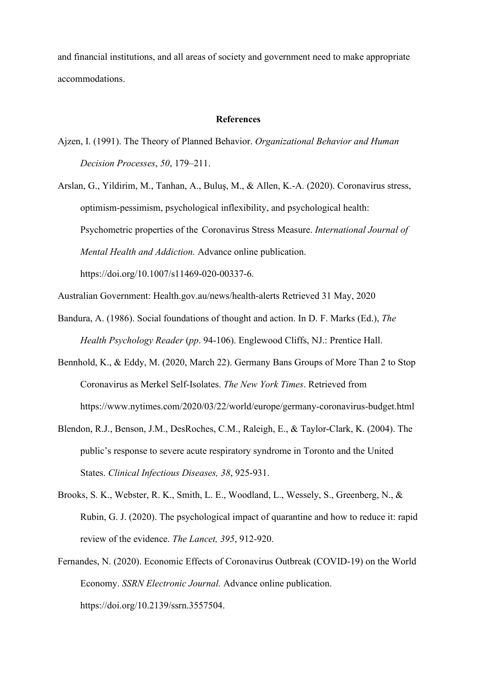and financial institutions, and all areas of society and government need to make appropriate accommodations.

### **References**

Ajzen, I. (1991). The Theory of Planned Behavior. *Organizational Behavior and Human Decision Processes*, *50*, 179–211.

Arslan, G., Yildirim, M., Tanhan, A., Buluş, M., & Allen, K.-A. (2020). Coronavirus stress, optimism-pessimism, psychological inflexibility, and psychological health: Psychometric properties of the Coronavirus Stress Measure. *International Journal of Mental Health and Addiction.* Advance online publication. https://doi.org/10.1007/s11469-020-00337-6.

Australian Government: Health.gov.au/news/health-alerts Retrieved 31 May, 2020

- Bandura, A. (1986). Social foundations of thought and action. In D. F. Marks (Ed.), *The Health Psychology Reader* (*pp*. 94-106). Englewood Cliffs, NJ.: Prentice Hall.
- Bennhold, K., & Eddy, M. (2020, March 22). Germany Bans Groups of More Than 2 to Stop Coronavirus as Merkel Self-Isolates. *The New York Times*. Retrieved from <https://www.nytimes.com/2020/03/22/world/europe/germany-coronavirus-budget.html>
- Blendon, R.J., Benson, J.M., DesRoches, C.M., Raleigh, E., & Taylor-Clark, K. (2004). The public's response to severe acute respiratory syndrome in Toronto and the United States. *Clinical Infectious Diseases, 38*, 925-931.
- Brooks, S. K., Webster, R. K., Smith, L. E., Woodland, L., Wessely, S., Greenberg, N., & Rubin, G. J. (2020). The psychological impact of quarantine and how to reduce it: rapid review of the evidence. *The Lancet, 395*, 912-920.
- Fernandes, N. (2020). Economic Effects of Coronavirus Outbreak (COVID-19) on the World Economy. *SSRN Electronic Journal.* Advance online publication. https://doi.org/10.2139/ssrn.3557504.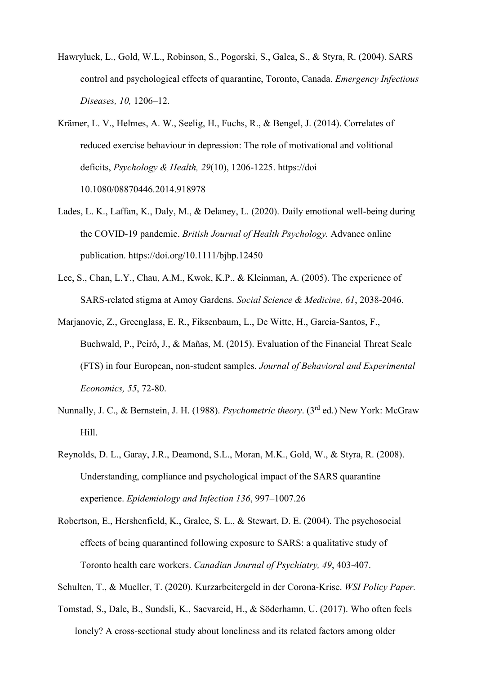- Hawryluck, L., Gold, W.L., Robinson, S., Pogorski, S., Galea, S., & Styra, R. (2004). SARS control and psychological effects of quarantine, Toronto, Canada. *Emergency Infectious Diseases, 10,* 1206–12.
- Krämer, L. V., Helmes, A. W., Seelig, H., Fuchs, R., & Bengel, J. (2014). Correlates of reduced exercise behaviour in depression: The role of motivational and volitional deficits, *Psychology & Health, 29*(10), 1206-1225. https://doi [10.1080/08870446.2014.918978](https://doi.org/10.1080/08870446.2014.918978)
- Lades, L. K., Laffan, K., Daly, M., & Delaney, L. (2020). Daily emotional well-being during the COVID-19 pandemic. *British Journal of Health Psychology.* Advance online publication. https://doi.org/10.1111/bjhp.12450
- Lee, S., Chan, L.Y., Chau, A.M., Kwok, K.P., & Kleinman, A. (2005). The experience of SARS-related stigma at Amoy Gardens. *Social Science & Medicine, 61*, 2038-2046.
- Marjanovic, Z., Greenglass, E. R., Fiksenbaum, L., De Witte, H., Garcia-Santos, F., Buchwald, P., Peiró, J., & Mañas, M. (2015). Evaluation of the Financial Threat Scale (FTS) in four European, non-student samples. *Journal of Behavioral and Experimental Economics, 55*, 72-80.
- Nunnally, J. C., & Bernstein, J. H. (1988). *Psychometric theory*. (3rd ed.) New York: McGraw Hill.
- Reynolds, D. L., Garay, J.R., Deamond, S.L., Moran, M.K., Gold, W., & Styra, R. (2008). Understanding, compliance and psychological impact of the SARS quarantine experience. *Epidemiology and Infection 136*, 997–1007.26
- Robertson, E., Hershenfield, K., Gralce, S. L., & Stewart, D. E. (2004). The psychosocial effects of being quarantined following exposure to SARS: a qualitative study of Toronto health care workers. *Canadian Journal of Psychiatry, 49*, 403-407.
- Schulten, T., & Mueller, T. (2020). Kurzarbeitergeld in der Corona-Krise. *WSI Policy Paper.*
- Tomstad, S., Dale, B., Sundsli, K., Saevareid, H., & Söderhamn, U. (2017). Who often feels lonely? A cross-sectional study about loneliness and its related factors among older